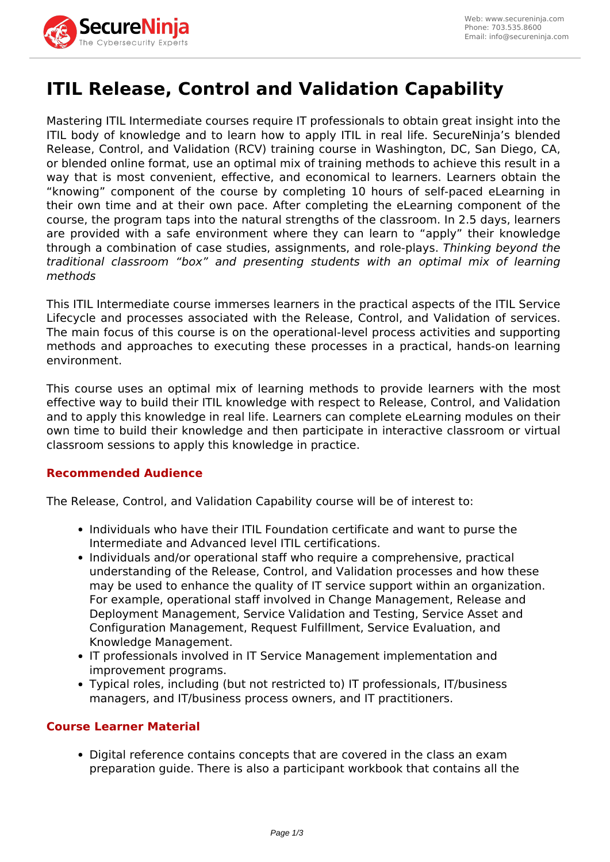

# **ITIL Release, Control and Validation Capability**

Mastering ITIL Intermediate courses require IT professionals to obtain great insight into the ITIL body of knowledge and to learn how to apply ITIL in real life. SecureNinja's blended Release, Control, and Validation (RCV) training course in Washington, DC, San Diego, CA, or blended online format, use an optimal mix of training methods to achieve this result in a way that is most convenient, effective, and economical to learners. Learners obtain the "knowing" component of the course by completing 10 hours of self-paced eLearning in their own time and at their own pace. After completing the eLearning component of the course, the program taps into the natural strengths of the classroom. In 2.5 days, learners are provided with a safe environment where they can learn to "apply" their knowledge through a combination of case studies, assignments, and role-plays. *Thinking beyond the traditional classroom "box" and presenting students with an optimal mix of learning methods*

This ITIL Intermediate course immerses learners in the practical aspects of the ITIL Service Lifecycle and processes associated with the Release, Control, and Validation of services. The main focus of this course is on the operational-level process activities and supporting methods and approaches to executing these processes in a practical, hands-on learning environment.

This course uses an optimal mix of learning methods to provide learners with the most effective way to build their ITIL knowledge with respect to Release, Control, and Validation and to apply this knowledge in real life. Learners can complete eLearning modules on their own time to build their knowledge and then participate in interactive classroom or virtual classroom sessions to apply this knowledge in practice.

# **Recommended Audience**

The Release, Control, and Validation Capability course will be of interest to:

- Individuals who have their ITIL Foundation certificate and want to purse the Intermediate and Advanced level ITIL certifications.
- Individuals and/or operational staff who require a comprehensive, practical understanding of the Release, Control, and Validation processes and how these may be used to enhance the quality of IT service support within an organization. For example, operational staff involved in Change Management, Release and Deployment Management, Service Validation and Testing, Service Asset and Configuration Management, Request Fulfillment, Service Evaluation, and Knowledge Management.
- IT professionals involved in IT Service Management implementation and improvement programs.
- Typical roles, including (but not restricted to) IT professionals, IT/business managers, and IT/business process owners, and IT practitioners.

#### **Course Learner Material**

• Digital reference contains concepts that are covered in the class an exam preparation guide. There is also a participant workbook that contains all the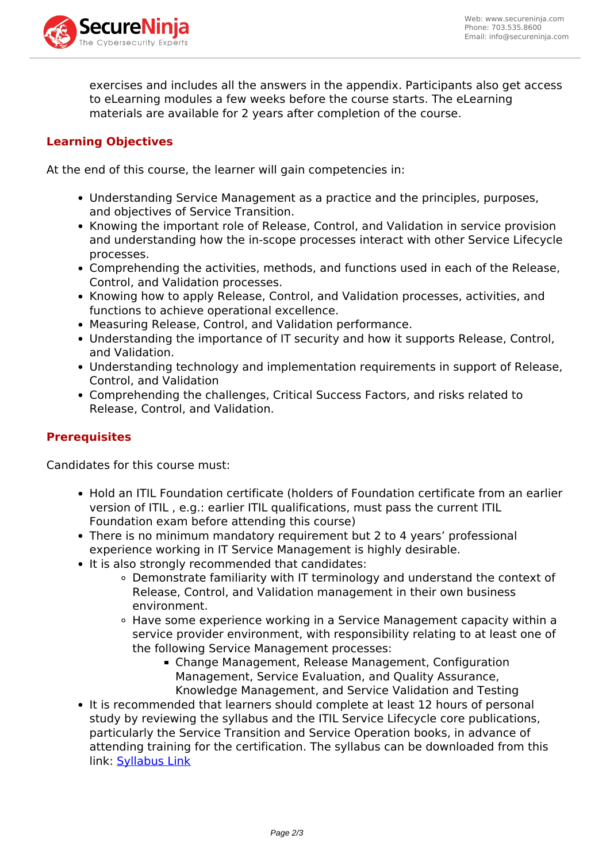

exercises and includes all the answers in the appendix. Participants also get access to eLearning modules a few weeks before the course starts. The eLearning materials are available for 2 years after completion of the course.

## **Learning Objectives**

At the end of this course, the learner will gain competencies in:

- Understanding Service Management as a practice and the principles, purposes, and objectives of Service Transition.
- Knowing the important role of Release, Control, and Validation in service provision and understanding how the in-scope processes interact with other Service Lifecycle processes.
- Comprehending the activities, methods, and functions used in each of the Release, Control, and Validation processes.
- Knowing how to apply Release, Control, and Validation processes, activities, and functions to achieve operational excellence.
- Measuring Release, Control, and Validation performance.
- Understanding the importance of IT security and how it supports Release, Control, and Validation.
- Understanding technology and implementation requirements in support of Release, Control, and Validation
- Comprehending the challenges, Critical Success Factors, and risks related to Release, Control, and Validation.

### **Prerequisites**

Candidates for this course must:

- Hold an ITIL Foundation certificate (holders of Foundation certificate from an earlier version of ITIL , e.g.: earlier ITIL qualifications, must pass the current ITIL Foundation exam before attending this course)
- There is no minimum mandatory requirement but 2 to 4 years' professional experience working in IT Service Management is highly desirable.
- It is also strongly recommended that candidates:
	- Demonstrate familiarity with IT terminology and understand the context of Release, Control, and Validation management in their own business environment.
	- Have some experience working in a Service Management capacity within a service provider environment, with responsibility relating to at least one of the following Service Management processes:
		- Change Management, Release Management, Configuration Management, Service Evaluation, and Quality Assurance, Knowledge Management, and Service Validation and Testing
- It is recommended that learners should complete at least 12 hours of personal study by reviewing the syllabus and the ITIL Service Lifecycle core publications, particularly the Service Transition and Service Operation books, in advance of attending training for the certification. The syllabus can be downloaded from this link: [Syllabus Link](https://www.axelos.com/Corporate/media/Files/Syllabi/The_ITIL_Intermediate_Qualification_Release_Control_and_Validation_Certificate_Syllabus_v5-4.pdf)